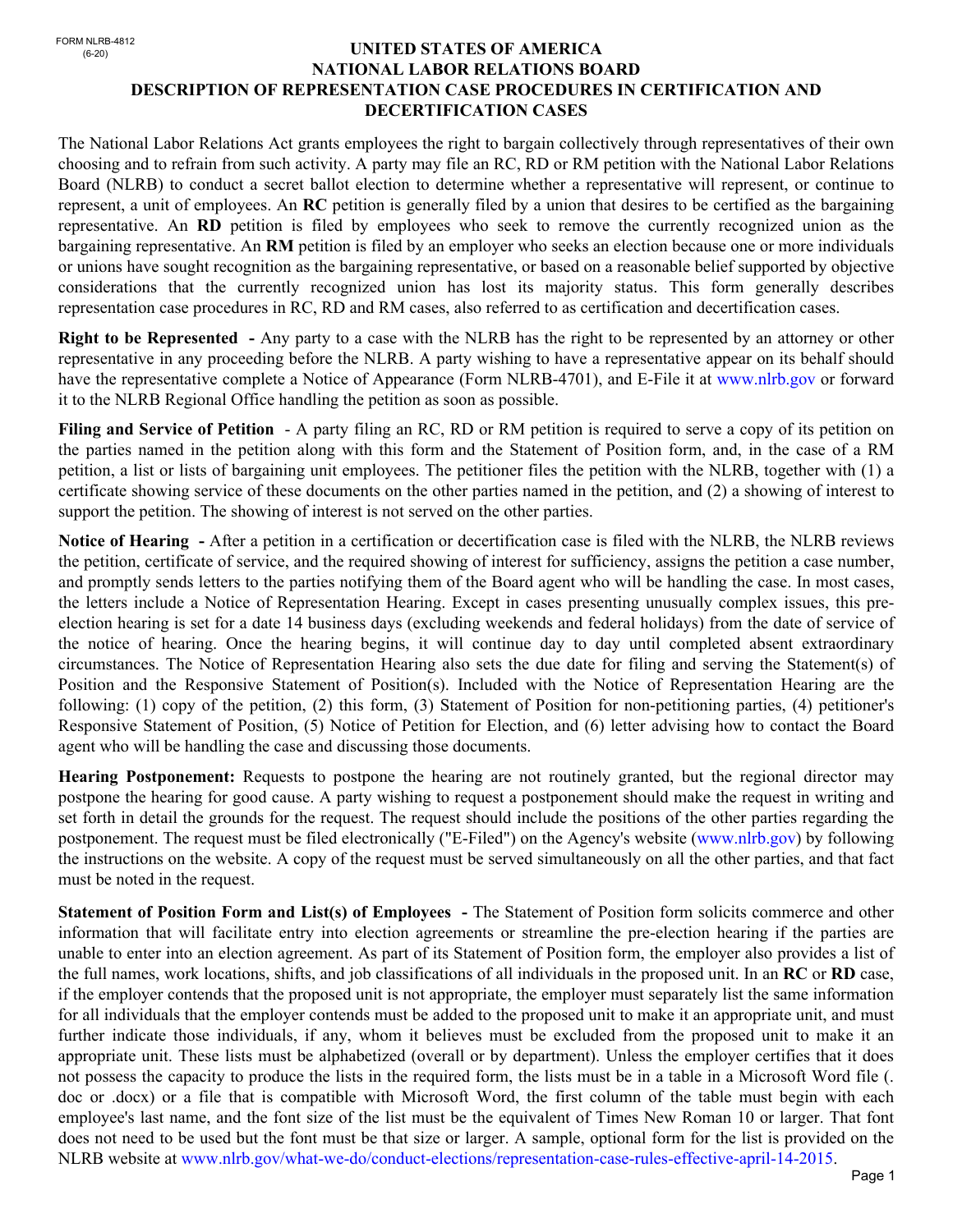FORM NLRB-4812<br>(6-20)

## (6-20) **UNITED STATES OF AMERICA NATIONAL LABOR RELATIONS BOARD DESCRIPTION OF REPRESENTATION CASE PROCEDURES IN CERTIFICATION AND DECERTIFICATION CASES**

The National Labor Relations Act grants employees the right to bargain collectively through representatives of their own choosing and to refrain from such activity. A party may file an RC, RD or RM petition with the National Labor Relations Board (NLRB) to conduct a secret ballot election to determine whether a representative will represent, or continue to represent, a unit of employees. An **RC** petition is generally filed by a union that desires to be certified as the bargaining representative. An **RD** petition is filed by employees who seek to remove the currently recognized union as the bargaining representative. An **RM** petition is filed by an employer who seeks an election because one or more individuals or unions have sought recognition as the bargaining representative, or based on a reasonable belief supported by objective considerations that the currently recognized union has lost its majority status. This form generally describes representation case procedures in RC, RD and RM cases, also referred to as certification and decertification cases.

**Right to be Represented -** Any party to a case with the NLRB has the right to be represented by an attorney or other representative in any proceeding before the NLRB. A party wishing to have a representative appear on its behalf should have the representative complete a Notice of Appearance (Form NLRB-4701), and E-File it at www.nlrb.gov or forward it to the NLRB Regional Office handling the petition as soon as possible.

**Filing and Service of Petition** - A party filing an RC, RD or RM petition is required to serve a copy of its petition on the parties named in the petition along with this form and the Statement of Position form, and, in the case of a RM petition, a list or lists of bargaining unit employees. The petitioner files the petition with the NLRB, together with (1) a certificate showing service of these documents on the other parties named in the petition, and (2) a showing of interest to support the petition. The showing of interest is not served on the other parties.

**Notice of Hearing -** After a petition in a certification or decertification case is filed with the NLRB, the NLRB reviews the petition, certificate of service, and the required showing of interest for sufficiency, assigns the petition a case number, and promptly sends letters to the parties notifying them of the Board agent who will be handling the case. In most cases, the letters include a Notice of Representation Hearing. Except in cases presenting unusually complex issues, this preelection hearing is set for a date 14 business days (excluding weekends and federal holidays) from the date of service of the notice of hearing. Once the hearing begins, it will continue day to day until completed absent extraordinary circumstances. The Notice of Representation Hearing also sets the due date for filing and serving the Statement(s) of Position and the Responsive Statement of Position(s). Included with the Notice of Representation Hearing are the following: (1) copy of the petition, (2) this form, (3) Statement of Position for non-petitioning parties, (4) petitioner's Responsive Statement of Position, (5) Notice of Petition for Election, and (6) letter advising how to contact the Board agent who will be handling the case and discussing those documents.

**Hearing Postponement:** Requests to postpone the hearing are not routinely granted, but the regional director may postpone the hearing for good cause. A party wishing to request a postponement should make the request in writing and set forth in detail the grounds for the request. The request should include the positions of the other parties regarding the postponement. The request must be filed electronically ("E-Filed") on the Agency's website (www.nlrb.gov) by following the instructions on the website. A copy of the request must be served simultaneously on all the other parties, and that fact must be noted in the request.

**Statement of Position Form and List(s) of Employees -** The Statement of Position form solicits commerce and other information that will facilitate entry into election agreements or streamline the pre-election hearing if the parties are unable to enter into an election agreement. As part of its Statement of Position form, the employer also provides a list of the full names, work locations, shifts, and job classifications of all individuals in the proposed unit. In an **RC** or **RD** case, if the employer contends that the proposed unit is not appropriate, the employer must separately list the same information for all individuals that the employer contends must be added to the proposed unit to make it an appropriate unit, and must further indicate those individuals, if any, whom it believes must be excluded from the proposed unit to make it an appropriate unit. These lists must be alphabetized (overall or by department). Unless the employer certifies that it does not possess the capacity to produce the lists in the required form, the lists must be in a table in a Microsoft Word file (. doc or .docx) or a file that is compatible with Microsoft Word, the first column of the table must begin with each employee's last name, and the font size of the list must be the equivalent of Times New Roman 10 or larger. That font does not need to be used but the font must be that size or larger. A sample, optional form for the list is provided on the NLRB website at www.nlrb.gov/what-we-do/conduct-elections/representation-case-rules-effective-april-14-2015.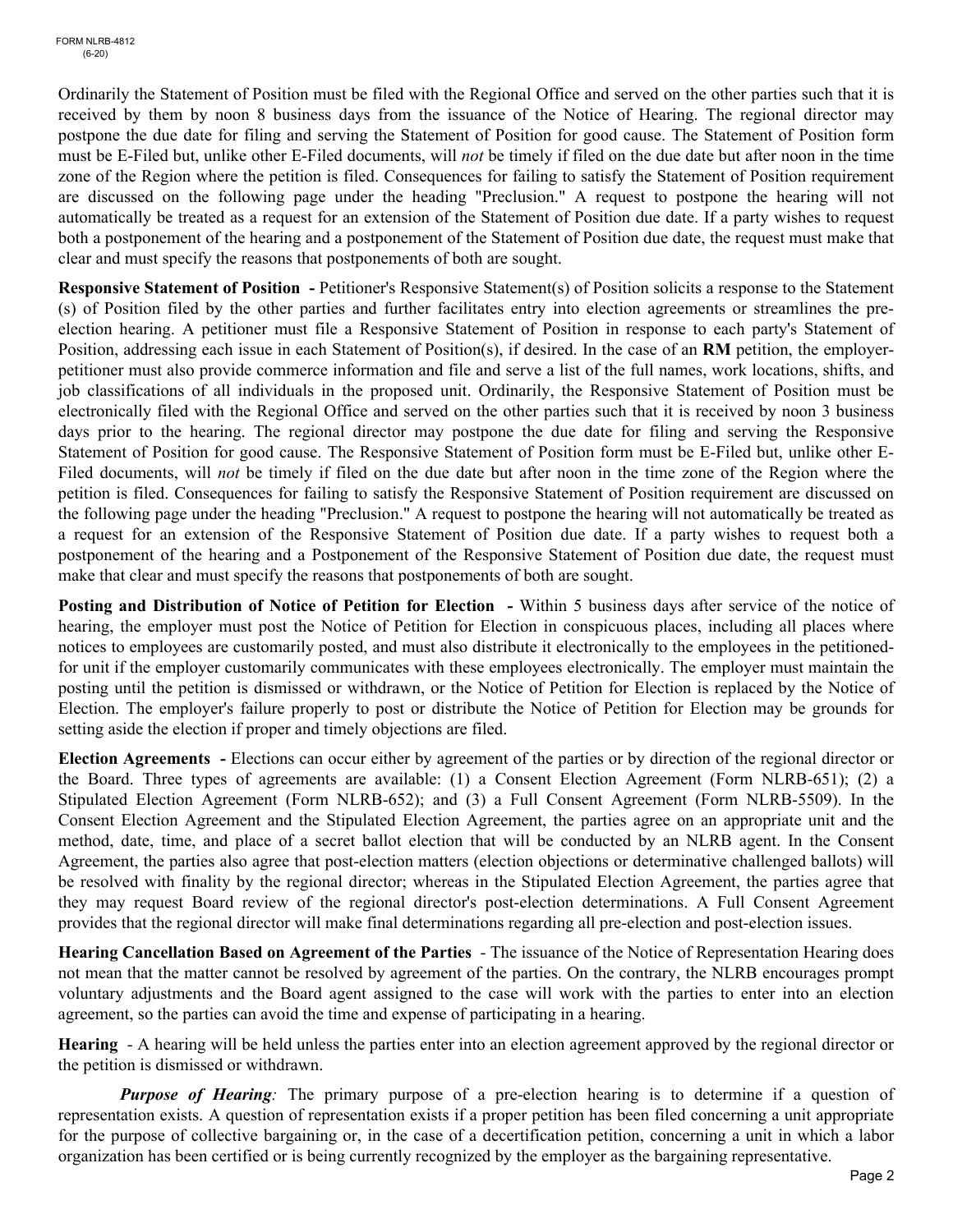Ordinarily the Statement of Position must be filed with the Regional Office and served on the other parties such that it is received by them by noon 8 business days from the issuance of the Notice of Hearing. The regional director may postpone the due date for filing and serving the Statement of Position for good cause. The Statement of Position form must be E-Filed but, unlike other E-Filed documents, will *not* be timely if filed on the due date but after noon in the time zone of the Region where the petition is filed. Consequences for failing to satisfy the Statement of Position requirement are discussed on the following page under the heading "Preclusion." A request to postpone the hearing will not automatically be treated as a request for an extension of the Statement of Position due date. If a party wishes to request both a postponement of the hearing and a postponement of the Statement of Position due date, the request must make that clear and must specify the reasons that postponements of both are sought.

**Responsive Statement of Position -** Petitioner's Responsive Statement(s) of Position solicits a response to the Statement (s) of Position filed by the other parties and further facilitates entry into election agreements or streamlines the preelection hearing. A petitioner must file a Responsive Statement of Position in response to each party's Statement of Position, addressing each issue in each Statement of Position(s), if desired. In the case of an **RM** petition, the employerpetitioner must also provide commerce information and file and serve a list of the full names, work locations, shifts, and job classifications of all individuals in the proposed unit. Ordinarily, the Responsive Statement of Position must be electronically filed with the Regional Office and served on the other parties such that it is received by noon 3 business days prior to the hearing. The regional director may postpone the due date for filing and serving the Responsive Statement of Position for good cause. The Responsive Statement of Position form must be E-Filed but, unlike other E-Filed documents, will *not* be timely if filed on the due date but after noon in the time zone of the Region where the petition is filed. Consequences for failing to satisfy the Responsive Statement of Position requirement are discussed on the following page under the heading "Preclusion." A request to postpone the hearing will not automatically be treated as a request for an extension of the Responsive Statement of Position due date. If a party wishes to request both a postponement of the hearing and a Postponement of the Responsive Statement of Position due date, the request must make that clear and must specify the reasons that postponements of both are sought.

**Posting and Distribution of Notice of Petition for Election - Within 5 business days after service of the notice of** hearing, the employer must post the Notice of Petition for Election in conspicuous places, including all places where notices to employees are customarily posted, and must also distribute it electronically to the employees in the petitionedfor unit if the employer customarily communicates with these employees electronically. The employer must maintain the posting until the petition is dismissed or withdrawn, or the Notice of Petition for Election is replaced by the Notice of Election. The employer's failure properly to post or distribute the Notice of Petition for Election may be grounds for setting aside the election if proper and timely objections are filed.

**Election Agreements -** Elections can occur either by agreement of the parties or by direction of the regional director or the Board. Three types of agreements are available: (1) a Consent Election Agreement (Form NLRB-651); (2) a Stipulated Election Agreement (Form NLRB-652); and (3) a Full Consent Agreement (Form NLRB-5509). In the Consent Election Agreement and the Stipulated Election Agreement, the parties agree on an appropriate unit and the method, date, time, and place of a secret ballot election that will be conducted by an NLRB agent. In the Consent Agreement, the parties also agree that post-election matters (election objections or determinative challenged ballots) will be resolved with finality by the regional director; whereas in the Stipulated Election Agreement, the parties agree that they may request Board review of the regional director's post-election determinations. A Full Consent Agreement provides that the regional director will make final determinations regarding all pre-election and post-election issues.

**Hearing Cancellation Based on Agreement of the Parties** - The issuance of the Notice of Representation Hearing does not mean that the matter cannot be resolved by agreement of the parties. On the contrary, the NLRB encourages prompt voluntary adjustments and the Board agent assigned to the case will work with the parties to enter into an election agreement, so the parties can avoid the time and expense of participating in a hearing.

**Hearing** - A hearing will be held unless the parties enter into an election agreement approved by the regional director or the petition is dismissed or withdrawn.

**Purpose of Hearing**: The primary purpose of a pre-election hearing is to determine if a question of representation exists. A question of representation exists if a proper petition has been filed concerning a unit appropriate for the purpose of collective bargaining or, in the case of a decertification petition, concerning a unit in which a labor organization has been certified or is being currently recognized by the employer as the bargaining representative.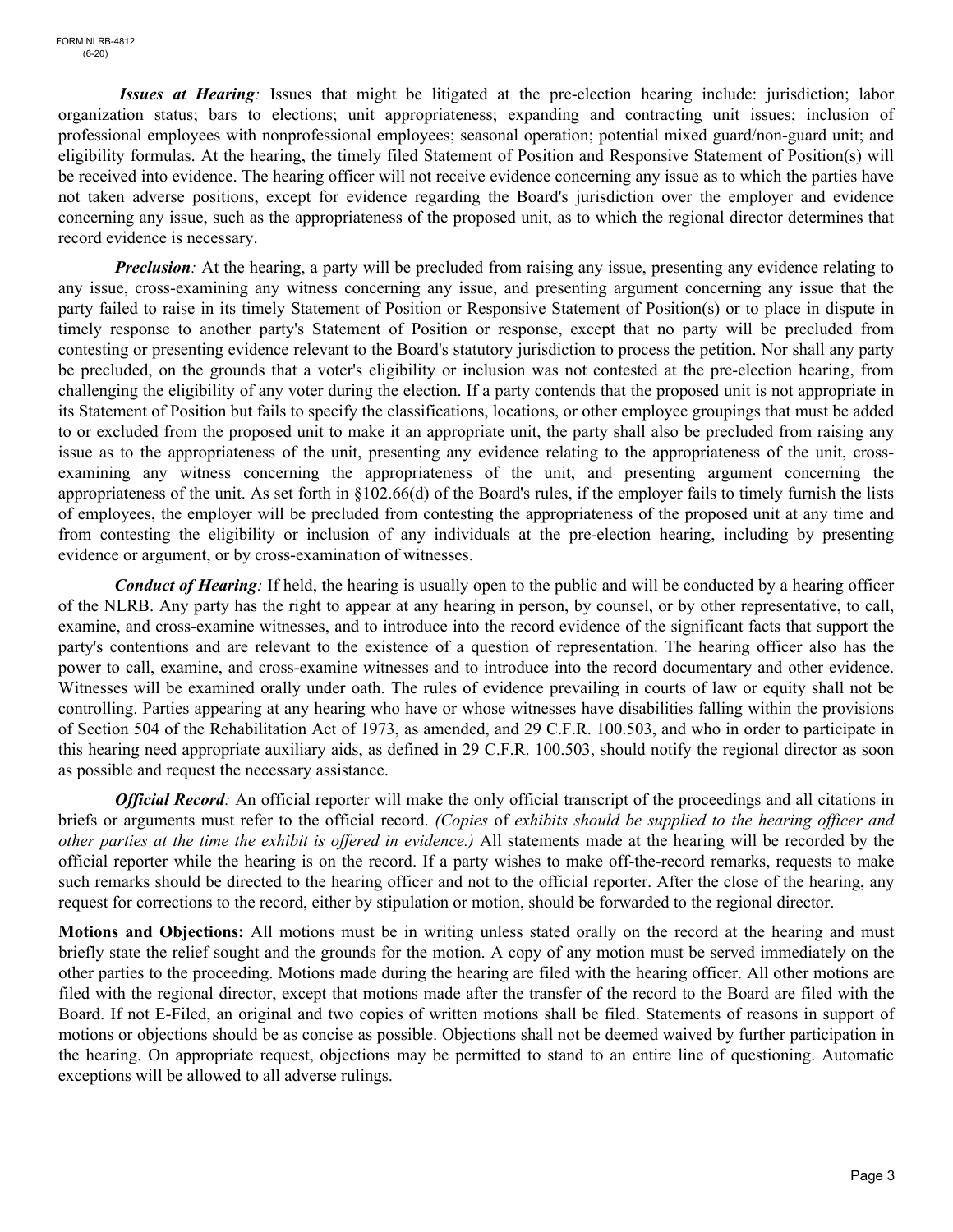*Issues at Hearing:* Issues that might be litigated at the pre-election hearing include: jurisdiction; labor organization status; bars to elections; unit appropriateness; expanding and contracting unit issues; inclusion of professional employees with nonprofessional employees; seasonal operation; potential mixed guard/non-guard unit; and eligibility formulas. At the hearing, the timely filed Statement of Position and Responsive Statement of Position(s) will be received into evidence. The hearing officer will not receive evidence concerning any issue as to which the parties have not taken adverse positions, except for evidence regarding the Board's jurisdiction over the employer and evidence concerning any issue, such as the appropriateness of the proposed unit, as to which the regional director determines that record evidence is necessary.

*Preclusion*: At the hearing, a party will be precluded from raising any issue, presenting any evidence relating to any issue, cross-examining any witness concerning any issue, and presenting argument concerning any issue that the party failed to raise in its timely Statement of Position or Responsive Statement of Position(s) or to place in dispute in timely response to another party's Statement of Position or response, except that no party will be precluded from contesting or presenting evidence relevant to the Board's statutory jurisdiction to process the petition. Nor shall any party be precluded, on the grounds that a voter's eligibility or inclusion was not contested at the pre-election hearing, from challenging the eligibility of any voter during the election. If a party contends that the proposed unit is not appropriate in its Statement of Position but fails to specify the classifications, locations, or other employee groupings that must be added to or excluded from the proposed unit to make it an appropriate unit, the party shall also be precluded from raising any issue as to the appropriateness of the unit, presenting any evidence relating to the appropriateness of the unit, crossexamining any witness concerning the appropriateness of the unit, and presenting argument concerning the appropriateness of the unit. As set forth in  $\S 102.66(d)$  of the Board's rules, if the employer fails to timely furnish the lists of employees, the employer will be precluded from contesting the appropriateness of the proposed unit at any time and from contesting the eligibility or inclusion of any individuals at the pre-election hearing, including by presenting evidence or argument, or by cross-examination of witnesses.

*Conduct of Hearing:* If held, the hearing is usually open to the public and will be conducted by a hearing officer of the NLRB. Any party has the right to appear at any hearing in person, by counsel, or by other representative, to call, examine, and cross-examine witnesses, and to introduce into the record evidence of the significant facts that support the party's contentions and are relevant to the existence of a question of representation. The hearing officer also has the power to call, examine, and cross-examine witnesses and to introduce into the record documentary and other evidence. Witnesses will be examined orally under oath. The rules of evidence prevailing in courts of law or equity shall not be controlling. Parties appearing at any hearing who have or whose witnesses have disabilities falling within the provisions of Section 504 of the Rehabilitation Act of 1973, as amended, and 29 C.F.R. 100.503, and who in order to participate in this hearing need appropriate auxiliary aids, as defined in 29 C.F.R. 100.503, should notify the regional director as soon as possible and request the necessary assistance.

*Official Record:* An official reporter will make the only official transcript of the proceedings and all citations in briefs or arguments must refer to the official record. *(Copies* of *exhibits should be supplied to the hearing officer and other parties at the time the exhibit is offered in evidence.)* All statements made at the hearing will be recorded by the official reporter while the hearing is on the record. If a party wishes to make off-the-record remarks, requests to make such remarks should be directed to the hearing officer and not to the official reporter. After the close of the hearing, any request for corrections to the record, either by stipulation or motion, should be forwarded to the regional director.

**Motions and Objections:** All motions must be in writing unless stated orally on the record at the hearing and must briefly state the relief sought and the grounds for the motion. A copy of any motion must be served immediately on the other parties to the proceeding. Motions made during the hearing are filed with the hearing officer. All other motions are filed with the regional director, except that motions made after the transfer of the record to the Board are filed with the Board. If not E-Filed, an original and two copies of written motions shall be filed. Statements of reasons in support of motions or objections should be as concise as possible. Objections shall not be deemed waived by further participation in the hearing. On appropriate request, objections may be permitted to stand to an entire line of questioning. Automatic exceptions will be allowed to all adverse rulings.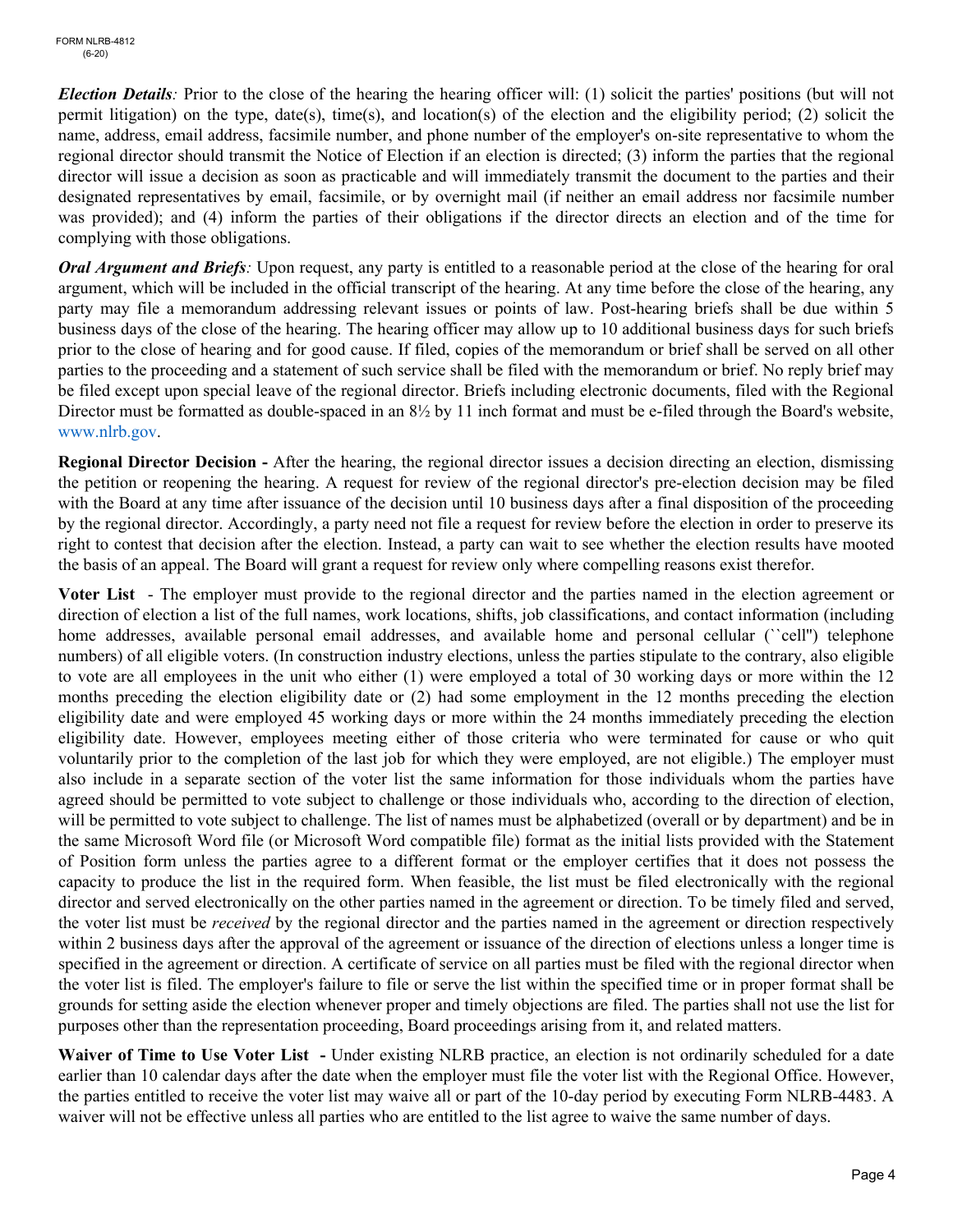*Election Details*: Prior to the close of the hearing the hearing officer will: (1) solicit the parties' positions (but will not permit litigation) on the type, date(s), time(s), and location(s) of the election and the eligibility period; (2) solicit the name, address, email address, facsimile number, and phone number of the employer's on-site representative to whom the regional director should transmit the Notice of Election if an election is directed; (3) inform the parties that the regional director will issue a decision as soon as practicable and will immediately transmit the document to the parties and their designated representatives by email, facsimile, or by overnight mail (if neither an email address nor facsimile number was provided); and (4) inform the parties of their obligations if the director directs an election and of the time for complying with those obligations.

*Oral Argument and Briefs:* Upon request, any party is entitled to a reasonable period at the close of the hearing for oral argument, which will be included in the official transcript of the hearing. At any time before the close of the hearing, any party may file a memorandum addressing relevant issues or points of law. Post-hearing briefs shall be due within 5 business days of the close of the hearing. The hearing officer may allow up to 10 additional business days for such briefs prior to the close of hearing and for good cause. If filed, copies of the memorandum or brief shall be served on all other parties to the proceeding and a statement of such service shall be filed with the memorandum or brief. No reply brief may be filed except upon special leave of the regional director. Briefs including electronic documents, filed with the Regional Director must be formatted as double-spaced in an 8½ by 11 inch format and must be e-filed through the Board's website, www.nlrb.gov.

**Regional Director Decision -** After the hearing, the regional director issues a decision directing an election, dismissing the petition or reopening the hearing. A request for review of the regional director's pre-election decision may be filed with the Board at any time after issuance of the decision until 10 business days after a final disposition of the proceeding by the regional director. Accordingly, a party need not file a request for review before the election in order to preserve its right to contest that decision after the election. Instead, a party can wait to see whether the election results have mooted the basis of an appeal. The Board will grant a request for review only where compelling reasons exist therefor.

**Voter List** - The employer must provide to the regional director and the parties named in the election agreement or direction of election a list of the full names, work locations, shifts, job classifications, and contact information (including home addresses, available personal email addresses, and available home and personal cellular ("cell") telephone numbers) of all eligible voters. (In construction industry elections, unless the parties stipulate to the contrary, also eligible to vote are all employees in the unit who either (1) were employed a total of 30 working days or more within the 12 months preceding the election eligibility date or (2) had some employment in the 12 months preceding the election eligibility date and were employed 45 working days or more within the 24 months immediately preceding the election eligibility date. However, employees meeting either of those criteria who were terminated for cause or who quit voluntarily prior to the completion of the last job for which they were employed, are not eligible.) The employer must also include in a separate section of the voter list the same information for those individuals whom the parties have agreed should be permitted to vote subject to challenge or those individuals who, according to the direction of election, will be permitted to vote subject to challenge. The list of names must be alphabetized (overall or by department) and be in the same Microsoft Word file (or Microsoft Word compatible file) format as the initial lists provided with the Statement of Position form unless the parties agree to a different format or the employer certifies that it does not possess the capacity to produce the list in the required form. When feasible, the list must be filed electronically with the regional director and served electronically on the other parties named in the agreement or direction. To be timely filed and served, the voter list must be *received* by the regional director and the parties named in the agreement or direction respectively within 2 business days after the approval of the agreement or issuance of the direction of elections unless a longer time is specified in the agreement or direction. A certificate of service on all parties must be filed with the regional director when the voter list is filed. The employer's failure to file or serve the list within the specified time or in proper format shall be grounds for setting aside the election whenever proper and timely objections are filed. The parties shall not use the list for purposes other than the representation proceeding, Board proceedings arising from it, and related matters.

**Waiver of Time to Use Voter List -** Under existing NLRB practice, an election is not ordinarily scheduled for a date earlier than 10 calendar days after the date when the employer must file the voter list with the Regional Office. However, the parties entitled to receive the voter list may waive all or part of the 10-day period by executing Form NLRB-4483. A waiver will not be effective unless all parties who are entitled to the list agree to waive the same number of days.